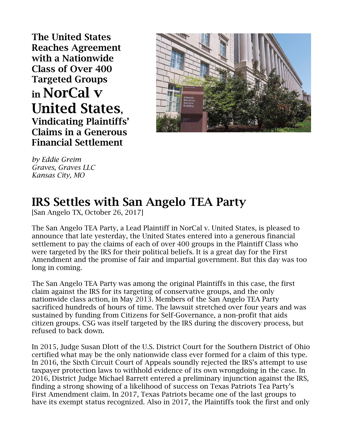**The United States Reaches Agreement with a Nationwide Class of Over 400 Targeted Groups in NorCal v United States, Vindicating Plaintiffs' Claims in a Generous Financial Settlement**



*by Eddie Greim Graves, Graves LLC Kansas City, MO*

## **IRS Settles with San Angelo TEA Party**

[San Angelo TX, October 26, 2017]

The San Angelo TEA Party, a Lead Plaintiff in NorCal v. United States, is pleased to announce that late yesterday, the United States entered into a generous financial settlement to pay the claims of each of over 400 groups in the Plaintiff Class who were targeted by the IRS for their political beliefs. It is a great day for the First Amendment and the promise of fair and impartial government. But this day was too long in coming.

The San Angelo TEA Party was among the original Plaintiffs in this case, the first claim against the IRS for its targeting of conservative groups, and the only nationwide class action, in May 2013. Members of the San Angelo TEA Party sacrificed hundreds of hours of time. The lawsuit stretched over four years and was sustained by funding from Citizens for Self-Governance, a non-profit that aids citizen groups. CSG was itself targeted by the IRS during the discovery process, but refused to back down.

In 2015, Judge Susan Dlott of the U.S. District Court for the Southern District of Ohio certified what may be the only nationwide class ever formed for a claim of this type. In 2016, the Sixth Circuit Court of Appeals soundly rejected the IRS's attempt to use taxpayer protection laws to withhold evidence of its own wrongdoing in the case. In 2016, District Judge Michael Barrett entered a preliminary injunction against the IRS, finding a strong showing of a likelihood of success on Texas Patriots Tea Party's First Amendment claim. In 2017, Texas Patriots became one of the last groups to have its exempt status recognized. Also in 2017, the Plaintiffs took the first and only